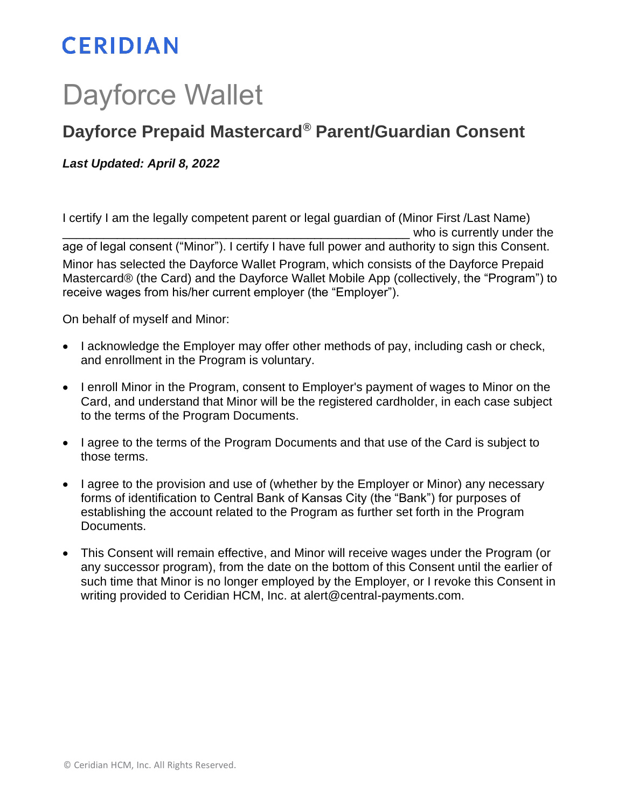## **CERIDIAN**

## Dayforce Wallet

## **Dayforce Prepaid Mastercard® Parent/Guardian Consent**

*Last Updated: April 8, 2022*

I certify I am the legally competent parent or legal guardian of (Minor First /Last Name) who is currently under the age of legal consent ("Minor"). I certify I have full power and authority to sign this Consent. Minor has selected the Dayforce Wallet Program, which consists of the Dayforce Prepaid Mastercard® (the Card) and the Dayforce Wallet Mobile App (collectively, the "Program") to receive wages from his/her current employer (the "Employer").

On behalf of myself and Minor:

- I acknowledge the Employer may offer other methods of pay, including cash or check, and enrollment in the Program is voluntary.
- I enroll Minor in the Program, consent to Employer's payment of wages to Minor on the Card, and understand that Minor will be the registered cardholder, in each case subject to the terms of the Program Documents.
- I agree to the terms of the Program Documents and that use of the Card is subject to those terms.
- I agree to the provision and use of (whether by the Employer or Minor) any necessary forms of identification to Central Bank of Kansas City (the "Bank") for purposes of establishing the account related to the Program as further set forth in the Program Documents.
- This Consent will remain effective, and Minor will receive wages under the Program (or any successor program), from the date on the bottom of this Consent until the earlier of such time that Minor is no longer employed by the Employer, or I revoke this Consent in writing provided to Ceridian HCM, Inc. at alert@central-payments.com.